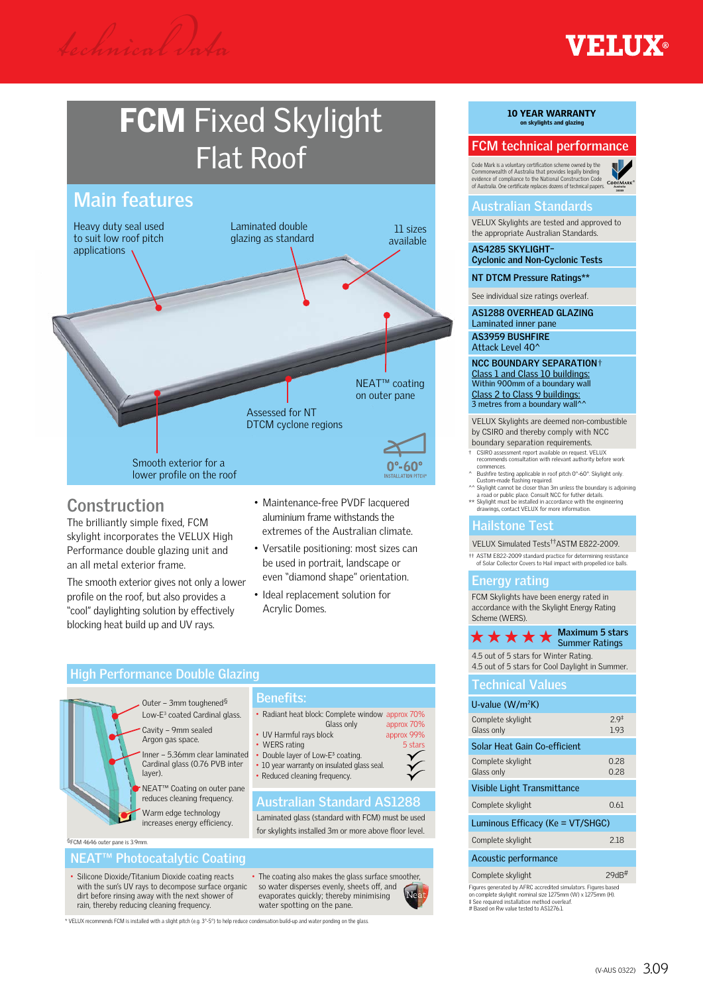# **FCM** Fixed Skylight Flat Roof



## **Construction**

The brilliantly simple fixed, FCM skylight incorporates the VELUX High Performance double glazing unit and an all metal exterior frame.

The smooth exterior gives not only a lower profile on the roof, but also provides a "cool" daylighting solution by effectively blocking heat build up and UV rays.

- Maintenance-free PVDF lacquered aluminium frame withstands the extremes of the Australian climate.
- Versatile positioning: most sizes can be used in portrait, landscape or even "diamond shape" orientation.
- Ideal replacement solution for Acrylic Domes.

### **High Performance Double Glazing**

Outer – 3mm toughened§ Low-E<sup>3</sup> coated Cardinal glass. Cavity – 9mm sealed Argon gas space.

> Inner – 5.36mm clear laminated Cardinal glass (0.76 PVB inter layer).

NEAT™ Coating on outer pane reduces cleaning frequency. Warm edge technology increases energy efficiency.

§FCM 4646 outer pane is 3.9mm.

#### **NEAT™ Photocatalytic Coating**

- Silicone Dioxide/Titanium Dioxide coating reacts with the sun's UV rays to decompose surface organic dirt before rinsing away with the next shower of rain, thereby reducing cleaning frequency.
- The coating also makes the glass surface smoother, so water disperses evenly, sheets off, and evaporates quickly; thereby minimising water spotting on the pane.

\* VELUX recommends FCM is installed with a slight pitch (e.g. 3°-5°) to help reduce condensation build-up and water ponding on the glass.

## **10 YEAR WARRANTY**<br>on skylights and glazing

#### **FCM technical performance**

Code Mark is a voluntary certification scheme owned by the Commonwealth of Australia that provides legally binding evidence of compliance to the National Construction Code of Australia. One certificate replaces dozens of technical papers.

#### **Australian Standards**

VELUX Skylights are tested and approved to the appropriate Australian Standards.

**AS4285 SKYLIGHT– Cyclonic and Non-Cyclonic Tests**

**NT DTCM Pressure Ratings\*\***

See individual size ratings overleaf.

**AS1288 OVERHEAD GLAZING** Laminated inner pane **AS3959 BUSHFIRE** Attack Level 40^

**NCC BOUNDARY SEPARATION**† Class 1 and Class 10 buildings: Within 900mm of a boundary wall Class 2 to Class 9 buildings:<br>3 metres from a boundary wall^^

#### VELUX Skylights are deemed non-combustible by CSIRO and thereby comply with NCC

- boundary separation requirements. † CSIRO assessment report available on request. VELUX recommends consultation with relevant authority before work
- commences. ^ Bushfire testing applicable in roof pitch 0°-60°. Skylight only. Custom-made flashing required. Custom-made flashing required.<br>Skylight cannot be closer than 3m unless the boundary is adjoining
- a road or public place. Consult NCC for futher details.
- \*\* Skylight must be installed in accordance with the engineering drawings, contact VELUX for more information.

#### **Hailstone Test**

VELUX Simulated Tests††ASTM E822-2009.

†† ASTM E822-2009 standard practice for determining resistance of Solar Collector Covers to Hail impact with propelled ice balls.

#### **Energy rating**

FCM Skylights have been energy rated in accordance with the Skylight Energy Rating Scheme (WERS).

**Maximum 5 stars**  $\star \star \star \star$  Maximum 5 stairs

4.5 out of 5 stars for Winter Rating. 4.5 out of 5 stars for Cool Daylight in Summer.

#### **Technical Values**

| U-value $(W/m^2K)$                                                                                                            |                          |  |  |  |  |  |  |  |
|-------------------------------------------------------------------------------------------------------------------------------|--------------------------|--|--|--|--|--|--|--|
| Complete skylight<br>Glass only                                                                                               | 2.9 <sup>‡</sup><br>1.93 |  |  |  |  |  |  |  |
| Solar Heat Gain Co-efficient                                                                                                  |                          |  |  |  |  |  |  |  |
| Complete skylight<br>Glass only                                                                                               | 0.28<br>0.28             |  |  |  |  |  |  |  |
| Visible Light Transmittance                                                                                                   |                          |  |  |  |  |  |  |  |
| Complete skylight                                                                                                             | 0.61                     |  |  |  |  |  |  |  |
| Luminous Efficacy (Ke = VT/SHGC)                                                                                              |                          |  |  |  |  |  |  |  |
| Complete skylight                                                                                                             | 2.18                     |  |  |  |  |  |  |  |
| Acoustic performance                                                                                                          |                          |  |  |  |  |  |  |  |
| Complete skylight                                                                                                             | $29$ d $B$ #             |  |  |  |  |  |  |  |
| Figures generated by AFRC accredited simulators. Figures based<br>on complete skylight: nominal size 1275mm (W) x 1275mm (H). |                          |  |  |  |  |  |  |  |

on complete skylight: nominal size 1275mm (W) x 1275mm (H). ‡ See required installation method overleaf. # Based on Rw value tested to AS1276.1.



**Benefits:**

- Reduced cleaning frequency.
	-

#### **Australian Standard AS1288**

• Radiant heat block: Complete window approx 70%

Laminated glass (standard with FCM) must be used for skylights installed 3m or more above floor level.

(V-AUS 0322) 3.09



**Australia Australia 30089**